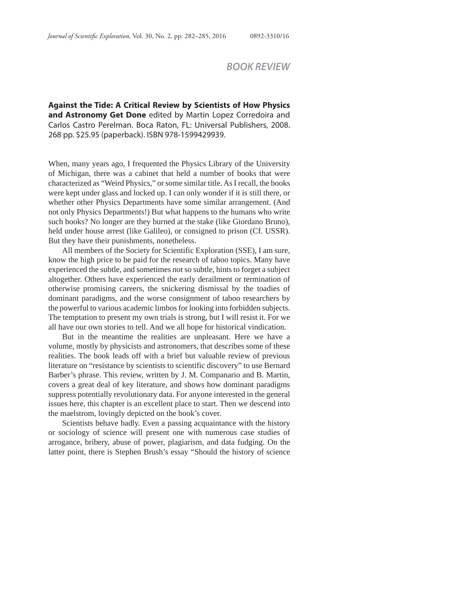**Against the Tide: A Critical Review by Scientists of How Physics and Astronomy Get Done** edited by Martin Lopez Corredoira and Carlos Castro Perelman. Boca Raton, FL: Universal Publishers, 2008. 268 pp. \$25.95 (paperback). ISBN 978-1599429939.

When, many years ago, I frequented the Physics Library of the University of Michigan, there was a cabinet that held a number of books that were characterized as "Weird Physics," or some similar title. As I recall, the books were kept under glass and locked up. I can only wonder if it is still there, or whether other Physics Departments have some similar arrangement. (And not only Physics Departments!) But what happens to the humans who write such books? No longer are they burned at the stake (like Giordano Bruno), held under house arrest (like Galileo), or consigned to prison (Cf. USSR). But they have their punishments, nonetheless.

All members of the Society for Scientific Exploration (SSE), I am sure, know the high price to be paid for the research of taboo topics. Many have experienced the subtle, and sometimes not so subtle, hints to forget a subject altogether. Others have experienced the early derailment or termination of otherwise promising careers, the snickering dismissal by the toadies of dominant paradigms, and the worse consignment of taboo researchers by the powerful to various academic limbos for looking into forbidden subjects. The temptation to present my own trials is strong, but I will resist it. For we all have our own stories to tell. And we all hope for historical vindication.

But in the meantime the realities are unpleasant. Here we have a volume, mostly by physicists and astronomers, that describes some of these realities. The book leads off with a brief but valuable review of previous literature on "resistance by scientists to scientific discovery" to use Bernard Barber's phrase. This review, written by J. M. Companario and B. Martin, covers a great deal of key literature, and shows how dominant paradigms suppress potentially revolutionary data. For anyone interested in the general issues here, this chapter is an excellent place to start. Then we descend into the maelstrom, lovingly depicted on the book's cover.

Scientists behave badly. Even a passing acquaintance with the history or sociology of science will present one with numerous case studies of arrogance, bribery, abuse of power, plagiarism, and data fudging. On the latter point, there is Stephen Brush's essay "Should the history of science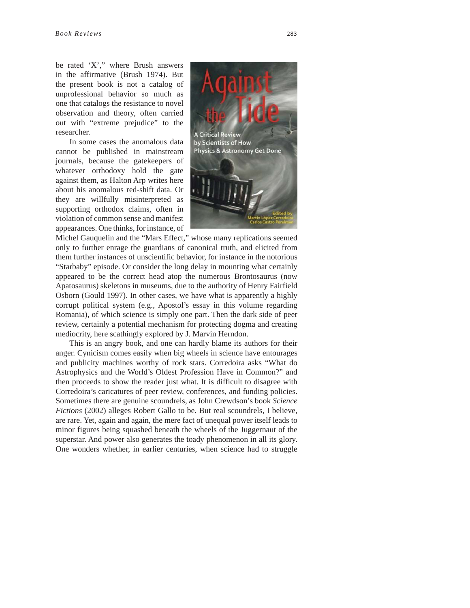be rated 'X'," where Brush answers in the affirmative (Brush 1974). But the present book is not a catalog of unprofessional behavior so much as one that catalogs the resistance to novel observation and theory, often carried out with "extreme prejudice" to the researcher.

In some cases the anomalous data cannot be published in mainstream journals, because the gatekeepers of whatever orthodoxy hold the gate against them, as Halton Arp writes here about his anomalous red-shift data. Or they are willfully misinterpreted as supporting orthodox claims, often in violation of common sense and manifest appearances. One thinks, for instance, of



Michel Gauquelin and the "Mars Effect," whose many replications seemed only to further enrage the guardians of canonical truth, and elicited from them further instances of unscientific behavior, for instance in the notorious "Starbaby" episode. Or consider the long delay in mounting what certainly appeared to be the correct head atop the numerous Brontosaurus (now Apatosaurus) skeletons in museums, due to the authority of Henry Fairfield Osborn (Gould 1997). In other cases, we have what is apparently a highly corrupt political system (e.g., Apostol's essay in this volume regarding Romania), of which science is simply one part. Then the dark side of peer review, certainly a potential mechanism for protecting dogma and creating mediocrity, here scathingly explored by J. Marvin Herndon.

This is an angry book, and one can hardly blame its authors for their anger. Cynicism comes easily when big wheels in science have entourages and publicity machines worthy of rock stars. Corredoira asks "What do Astrophysics and the World's Oldest Profession Have in Common?" and then proceeds to show the reader just what. It is difficult to disagree with Corredoira's caricatures of peer review, conferences, and funding policies. Sometimes there are genuine scoundrels, as John Crewdson's book *Science Fictions* (2002) alleges Robert Gallo to be. But real scoundrels, I believe, are rare. Yet, again and again, the mere fact of unequal power itself leads to minor figures being squashed beneath the wheels of the Juggernaut of the superstar. And power also generates the toady phenomenon in all its glory. One wonders whether, in earlier centuries, when science had to struggle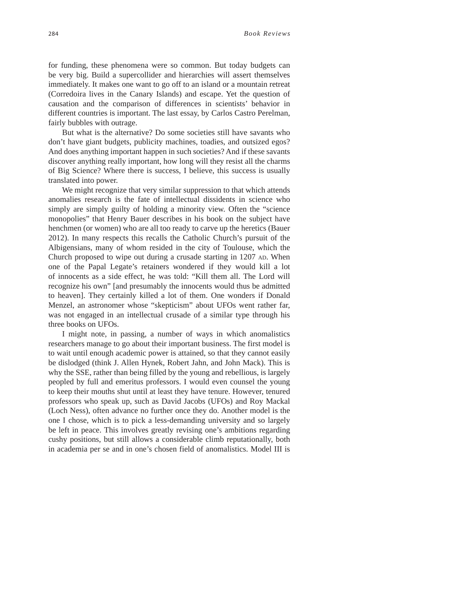for funding, these phenomena were so common. But today budgets can be very big. Build a supercollider and hierarchies will assert themselves immediately. It makes one want to go off to an island or a mountain retreat (Corredoira lives in the Canary Islands) and escape. Yet the question of causation and the comparison of differences in scientists' behavior in different countries is important. The last essay, by Carlos Castro Perelman, fairly bubbles with outrage.

But what is the alternative? Do some societies still have savants who don't have giant budgets, publicity machines, toadies, and outsized egos? And does anything important happen in such societies? And if these savants discover anything really important, how long will they resist all the charms of Big Science? Where there is success, I believe, this success is usually translated into power.

We might recognize that very similar suppression to that which attends anomalies research is the fate of intellectual dissidents in science who simply are simply guilty of holding a minority view. Often the "science monopolies" that Henry Bauer describes in his book on the subject have henchmen (or women) who are all too ready to carve up the heretics (Bauer 2012). In many respects this recalls the Catholic Church's pursuit of the Albigensians, many of whom resided in the city of Toulouse, which the Church proposed to wipe out during a crusade starting in 1207 AD. When one of the Papal Legate's retainers wondered if they would kill a lot of innocents as a side effect, he was told: "Kill them all. The Lord will recognize his own" [and presumably the innocents would thus be admitted to heaven]. They certainly killed a lot of them. One wonders if Donald Menzel, an astronomer whose "skepticism" about UFOs went rather far, was not engaged in an intellectual crusade of a similar type through his three books on UFOs.

I might note, in passing, a number of ways in which anomalistics researchers manage to go about their important business. The first model is to wait until enough academic power is attained, so that they cannot easily be dislodged (think J. Allen Hynek, Robert Jahn, and John Mack). This is why the SSE, rather than being filled by the young and rebellious, is largely peopled by full and emeritus professors. I would even counsel the young to keep their mouths shut until at least they have tenure. However, tenured professors who speak up, such as David Jacobs (UFOs) and Roy Mackal (Loch Ness), often advance no further once they do. Another model is the one I chose, which is to pick a less-demanding university and so largely be left in peace. This involves greatly revising one's ambitions regarding cushy positions, but still allows a considerable climb reputationally, both in academia per se and in one's chosen field of anomalistics. Model III is